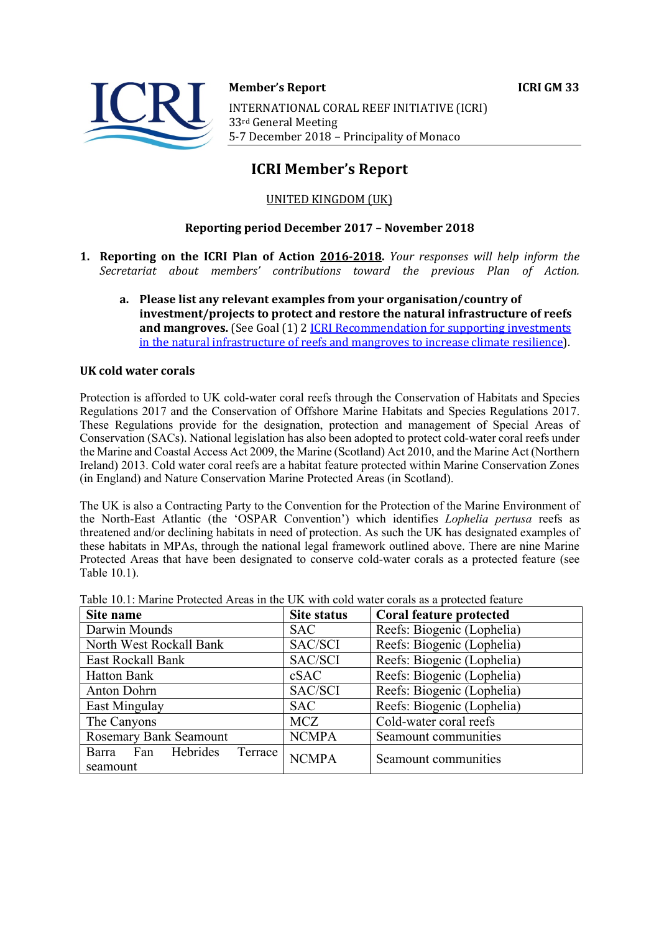

**Member's Report ICRI GM 33** INTERNATIONAL CORAL REEF INITIATIVE (ICRI) 33rd General Meeting 5-7 December 2018 - Principality of Monaco

# **ICRI Member's Report**

## UNITED KINGDOM (UK)

## **Reporting period December 2017 – November 2018**

- **1. Reporting on the ICRI Plan of Action 2016-2018.** *Your responses will help inform the Secretariat about members' contributions toward the previous Plan of Action.*
	- a. Please list any relevant examples from your organisation/country of **investment/projects to protect and restore the natural infrastructure of reefs and mangroves.** (See Goal (1) 2 *ICRI Recommendation for supporting investments* in the natural infrastructure of reefs and mangroves to increase climate resilience).

#### **UK cold water corals**

Protection is afforded to UK cold-water coral reefs through the Conservation of Habitats and Species Regulations 2017 and the Conservation of Offshore Marine Habitats and Species Regulations 2017. These Regulations provide for the designation, protection and management of Special Areas of Conservation (SACs). National legislation has also been adopted to protect cold-water coral reefs under the Marine and Coastal Access Act 2009, the Marine (Scotland) Act 2010, and the Marine Act (Northern Ireland) 2013. Cold water coral reefs are a habitat feature protected within Marine Conservation Zones (in England) and Nature Conservation Marine Protected Areas (in Scotland).

The UK is also a Contracting Party to the Convention for the Protection of the Marine Environment of the North-East Atlantic (the 'OSPAR Convention') which identifies *Lophelia pertusa* reefs as threatened and/or declining habitats in need of protection. As such the UK has designated examples of these habitats in MPAs, through the national legal framework outlined above. There are nine Marine Protected Areas that have been designated to conserve cold-water corals as a protected feature (see Table 10.1).

| Site name                              | <b>Site status</b> | Coral feature protected    |
|----------------------------------------|--------------------|----------------------------|
| Darwin Mounds                          | <b>SAC</b>         | Reefs: Biogenic (Lophelia) |
| North West Rockall Bank                | SAC/SCI            | Reefs: Biogenic (Lophelia) |
| East Rockall Bank                      | SAC/SCI            | Reefs: Biogenic (Lophelia) |
| <b>Hatton Bank</b>                     | cSAC               | Reefs: Biogenic (Lophelia) |
| <b>Anton Dohrn</b>                     | SAC/SCI            | Reefs: Biogenic (Lophelia) |
| East Mingulay                          | <b>SAC</b>         | Reefs: Biogenic (Lophelia) |
| The Canyons                            | <b>MCZ</b>         | Cold-water coral reefs     |
| <b>Rosemary Bank Seamount</b>          | <b>NCMPA</b>       | Seamount communities       |
| Barra Fan Hebrides Terrace<br>seamount | <b>NCMPA</b>       | Seamount communities       |

|  |  | Table 10.1: Marine Protected Areas in the UK with cold water corals as a protected feature |
|--|--|--------------------------------------------------------------------------------------------|
|--|--|--------------------------------------------------------------------------------------------|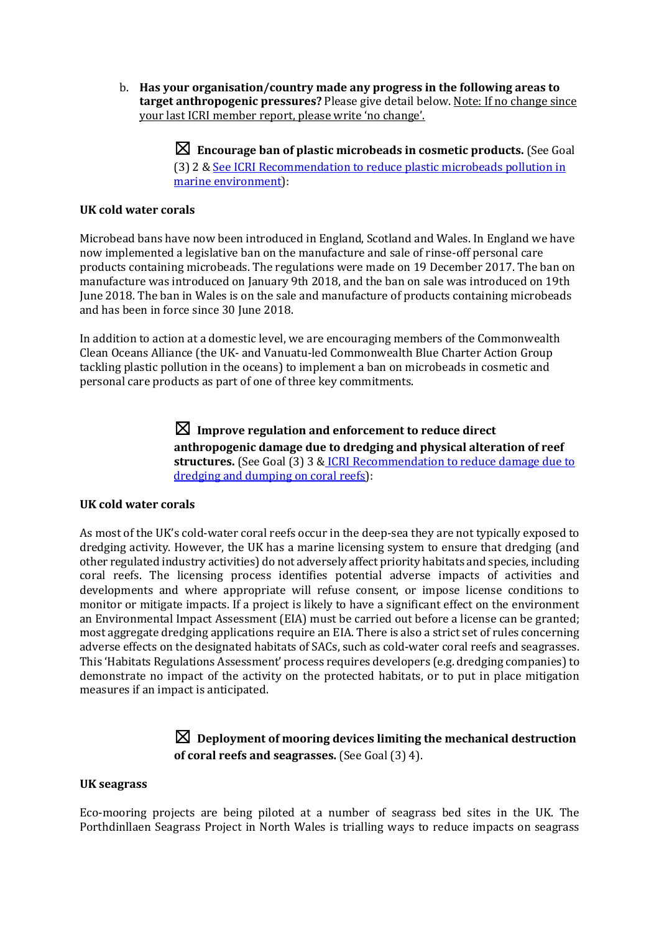b. Has your organisation/country made any progress in the following areas to **target anthropogenic pressures?** Please give detail below. Note: If no change since your last ICRI member report, please write 'no change'.

> $\boxtimes$  Encourage ban of plastic microbeads in cosmetic products. (See Goal (3) 2 & See ICRI Recommendation to reduce plastic microbeads pollution in marine environment):

#### **UK cold water corals**

Microbead bans have now been introduced in England, Scotland and Wales. In England we have now implemented a legislative ban on the manufacture and sale of rinse-off personal care products containing microbeads. The regulations were made on 19 December 2017. The ban on manufacture was introduced on January 9th 2018, and the ban on sale was introduced on 19th June 2018. The ban in Wales is on the sale and manufacture of products containing microbeads and has been in force since 30 June 2018.

In addition to action at a domestic level, we are encouraging members of the Commonwealth Clean Oceans Alliance (the UK- and Vanuatu-led Commonwealth Blue Charter Action Group tackling plastic pollution in the oceans) to implement a ban on microbeads in cosmetic and personal care products as part of one of three key commitments.

> $\boxtimes$  Improve regulation and enforcement to reduce direct anthropogenic damage due to dredging and physical alteration of reef structures. (See Goal (3) 3 & ICRI Recommendation to reduce damage due to dredging and dumping on coral reefs):

## **UK cold water corals**

As most of the UK's cold-water coral reefs occur in the deep-sea they are not typically exposed to dredging activity. However, the UK has a marine licensing system to ensure that dredging (and other regulated industry activities) do not adversely affect priority habitats and species, including coral reefs. The licensing process identifies potential adverse impacts of activities and developments and where appropriate will refuse consent, or impose license conditions to monitor or mitigate impacts. If a project is likely to have a significant effect on the environment an Environmental Impact Assessment (EIA) must be carried out before a license can be granted; most aggregate dredging applications require an EIA. There is also a strict set of rules concerning adverse effects on the designated habitats of SACs, such as cold-water coral reefs and seagrasses. This 'Habitats Regulations Assessment' process requires developers (e.g. dredging companies) to demonstrate no impact of the activity on the protected habitats, or to put in place mitigation measures if an impact is anticipated.

## $\boxtimes$  Deployment of mooring devices limiting the mechanical destruction **of coral reefs and seagrasses.** (See Goal (3) 4).

#### **UK seagrass**

Eco-mooring projects are being piloted at a number of seagrass bed sites in the UK. The Porthdinllaen Seagrass Project in North Wales is trialling ways to reduce impacts on seagrass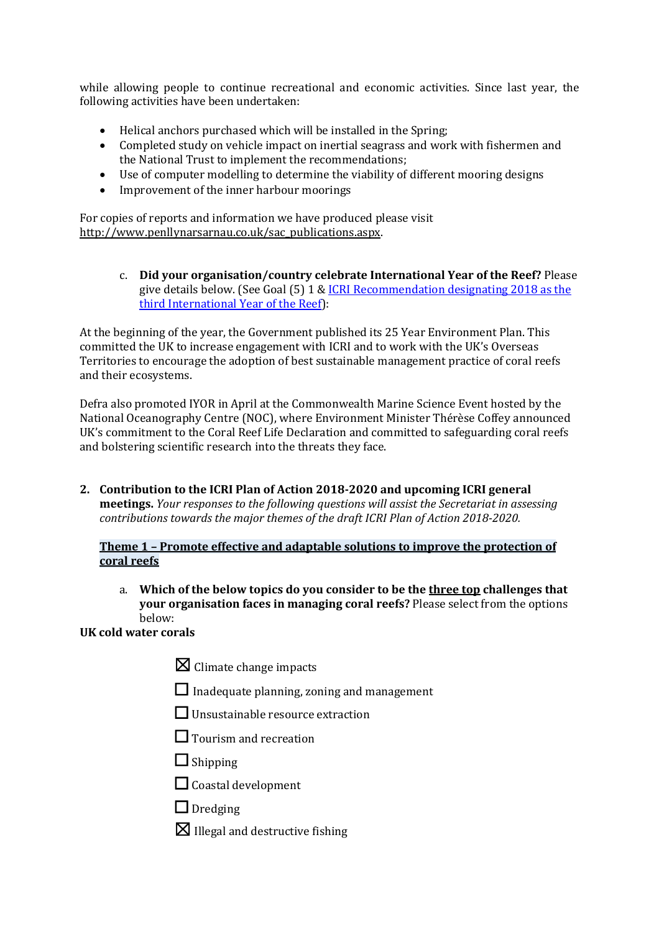while allowing people to continue recreational and economic activities. Since last year, the following activities have been undertaken:

- $\bullet$  Helical anchors purchased which will be installed in the Spring:
- Completed study on vehicle impact on inertial seagrass and work with fishermen and the National Trust to implement the recommendations;
- Use of computer modelling to determine the viability of different mooring designs
- Improvement of the inner harbour moorings

For copies of reports and information we have produced please visit http://www.penllynarsarnau.co.uk/sac\_publications.aspx.

> c. **Did your organisation/country celebrate International Year of the Reef?** Please give details below. (See Goal  $(5)$  1 & ICRI Recommendation designating 2018 as the third International Year of the Reef):

At the beginning of the year, the Government published its 25 Year Environment Plan. This committed the UK to increase engagement with ICRI and to work with the UK's Overseas Territories to encourage the adoption of best sustainable management practice of coral reefs and their ecosystems.

Defra also promoted IYOR in April at the Commonwealth Marine Science Event hosted by the National Oceanography Centre (NOC), where Environment Minister Thérèse Coffey announced UK's commitment to the Coral Reef Life Declaration and committed to safeguarding coral reefs and bolstering scientific research into the threats they face.

2. Contribution to the ICRI Plan of Action 2018-2020 and upcoming ICRI general **meetings.** *Your responses to the following questions will assist the Secretariat in assessing contributions towards the major themes of the draft ICRI Plan of Action 2018-2020.* 

#### **Theme 1 - Promote effective and adaptable solutions to improve the protection of coral reefs**

a. Which of the below topics do you consider to be the three top challenges that **your organisation faces in managing coral reefs?** Please select from the options below:

## **UK cold water corals**

- $\boxtimes$  Climate change impacts
- $\Box$  Inadequate planning, zoning and management
- $\Box$  Unsustainable resource extraction
- $\Box$  Tourism and recreation
- ☐ Shipping
- $\Box$  Coastal development
- $\Box$  Dredging
- $\boxtimes$  Illegal and destructive fishing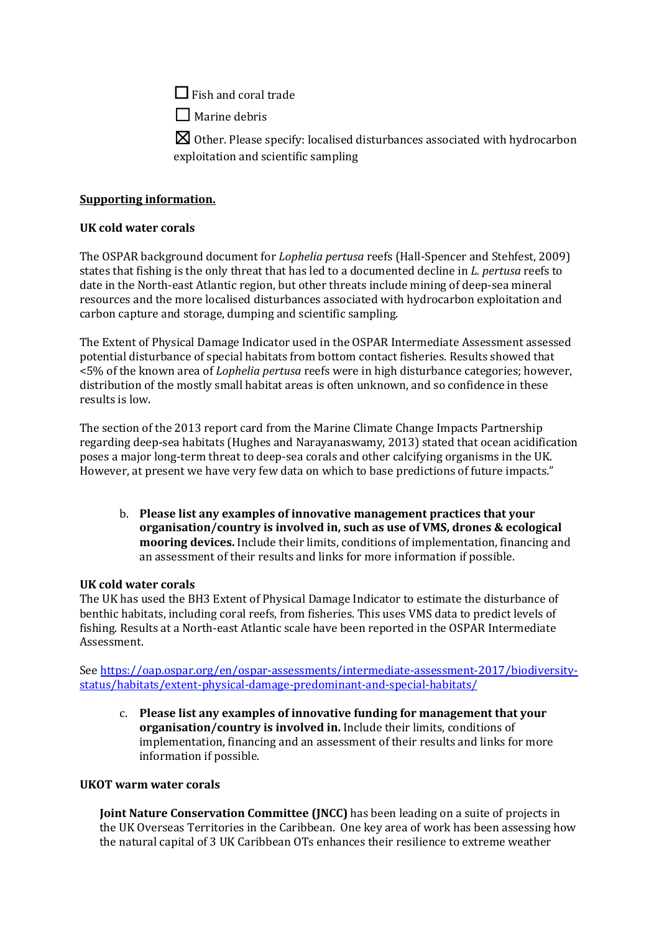$\Box$  Fish and coral trade

 $\Box$  Marine debris

 $\boxtimes$  Other. Please specify: localised disturbances associated with hydrocarbon exploitation and scientific sampling

## **Supporting information.**

## **UK cold water corals**

The OSPAR background document for *Lophelia pertusa* reefs (Hall-Spencer and Stehfest, 2009) states that fishing is the only threat that has led to a documented decline in *L. pertusa* reefs to date in the North-east Atlantic region, but other threats include mining of deep-sea mineral resources and the more localised disturbances associated with hydrocarbon exploitation and carbon capture and storage, dumping and scientific sampling.

The Extent of Physical Damage Indicator used in the OSPAR Intermediate Assessment assessed potential disturbance of special habitats from bottom contact fisheries. Results showed that  $\leq$ 5% of the known area of *Lophelia pertusa* reefs were in high disturbance categories; however, distribution of the mostly small habitat areas is often unknown, and so confidence in these results is low.

The section of the 2013 report card from the Marine Climate Change Impacts Partnership regarding deep-sea habitats (Hughes and Narayanaswamy, 2013) stated that ocean acidification poses a major long-term threat to deep-sea corals and other calcifying organisms in the UK. However, at present we have very few data on which to base predictions of future impacts."

b. Please list any examples of innovative management practices that your **organisation/country is involved in, such as use of VMS, drones & ecological mooring devices.** Include their limits, conditions of implementation, financing and an assessment of their results and links for more information if possible.

## **UK cold water corals**

The UK has used the BH3 Extent of Physical Damage Indicator to estimate the disturbance of benthic habitats, including coral reefs, from fisheries. This uses VMS data to predict levels of fishing. Results at a North-east Atlantic scale have been reported in the OSPAR Intermediate Assessment.

See https://oap.ospar.org/en/ospar-assessments/intermediate-assessment-2017/biodiversitystatus/habitats/extent-physical-damage-predominant-and-special-habitats/

c. Please list any examples of innovative funding for management that your organisation/country is involved in. Include their limits, conditions of implementation, financing and an assessment of their results and links for more information if possible.

## **UKOT** warm water corals

**Joint Nature Conservation Committee (JNCC)** has been leading on a suite of projects in the UK Overseas Territories in the Caribbean. One key area of work has been assessing how the natural capital of 3 UK Caribbean OTs enhances their resilience to extreme weather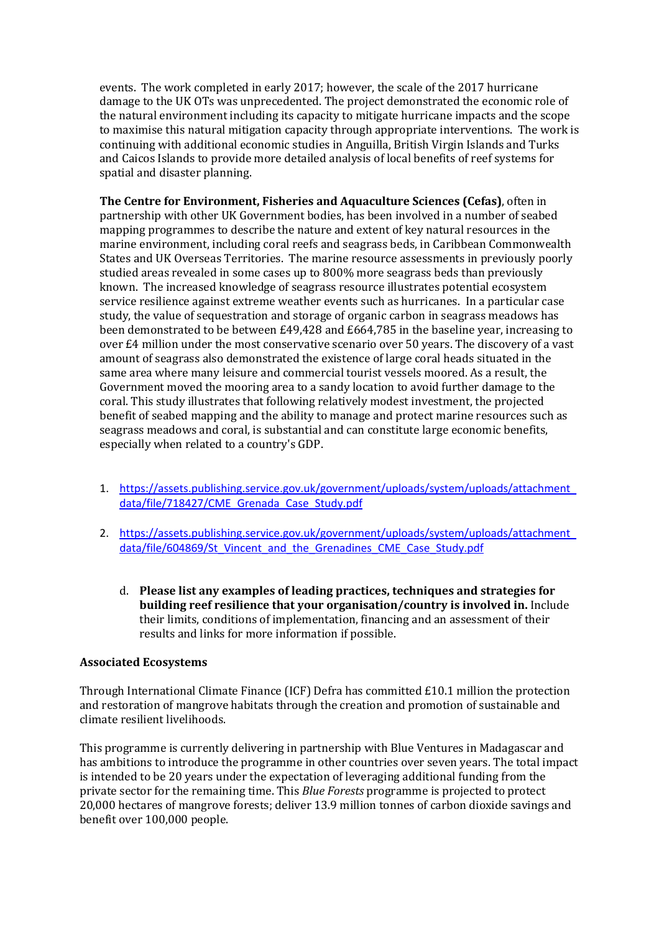events. The work completed in early 2017; however, the scale of the 2017 hurricane damage to the UK OTs was unprecedented. The project demonstrated the economic role of the natural environment including its capacity to mitigate hurricane impacts and the scope to maximise this natural mitigation capacity through appropriate interventions. The work is continuing with additional economic studies in Anguilla, British Virgin Islands and Turks and Caicos Islands to provide more detailed analysis of local benefits of reef systems for spatial and disaster planning.

**The Centre for Environment, Fisheries and Aquaculture Sciences (Cefas)**, often in partnership with other UK Government bodies, has been involved in a number of seabed mapping programmes to describe the nature and extent of key natural resources in the marine environment, including coral reefs and seagrass beds, in Caribbean Commonwealth States and UK Overseas Territories. The marine resource assessments in previously poorly studied areas revealed in some cases up to 800% more seagrass beds than previously known. The increased knowledge of seagrass resource illustrates potential ecosystem service resilience against extreme weather events such as hurricanes. In a particular case study, the value of sequestration and storage of organic carbon in seagrass meadows has been demonstrated to be between  $£49,428$  and  $£664,785$  in the baseline year, increasing to over £4 million under the most conservative scenario over 50 years. The discovery of a vast amount of seagrass also demonstrated the existence of large coral heads situated in the same area where many leisure and commercial tourist vessels moored. As a result, the Government moved the mooring area to a sandy location to avoid further damage to the coral. This study illustrates that following relatively modest investment, the projected benefit of seabed mapping and the ability to manage and protect marine resources such as seagrass meadows and coral, is substantial and can constitute large economic benefits, especially when related to a country's GDP.

- 1. https://assets.publishing.service.gov.uk/government/uploads/system/uploads/attachment data/file/718427/CME\_Grenada\_Case\_Study.pdf
- 2. https://assets.publishing.service.gov.uk/government/uploads/system/uploads/attachment data/file/604869/St\_Vincent\_and\_the\_Grenadines\_CME\_Case\_Study.pdf
	- d. Please list any examples of leading practices, techniques and strategies for **building reef resilience that your organisation/country is involved in.** Include their limits, conditions of implementation, financing and an assessment of their results and links for more information if possible.

## **Associated Ecosystems**

Through International Climate Finance (ICF) Defra has committed  $£10.1$  million the protection and restoration of mangrove habitats through the creation and promotion of sustainable and climate resilient livelihoods.

This programme is currently delivering in partnership with Blue Ventures in Madagascar and has ambitions to introduce the programme in other countries over seven years. The total impact is intended to be 20 years under the expectation of leveraging additional funding from the private sector for the remaining time. This *Blue Forests* programme is projected to protect 20,000 hectares of mangrove forests; deliver 13.9 million tonnes of carbon dioxide savings and benefit over 100,000 people.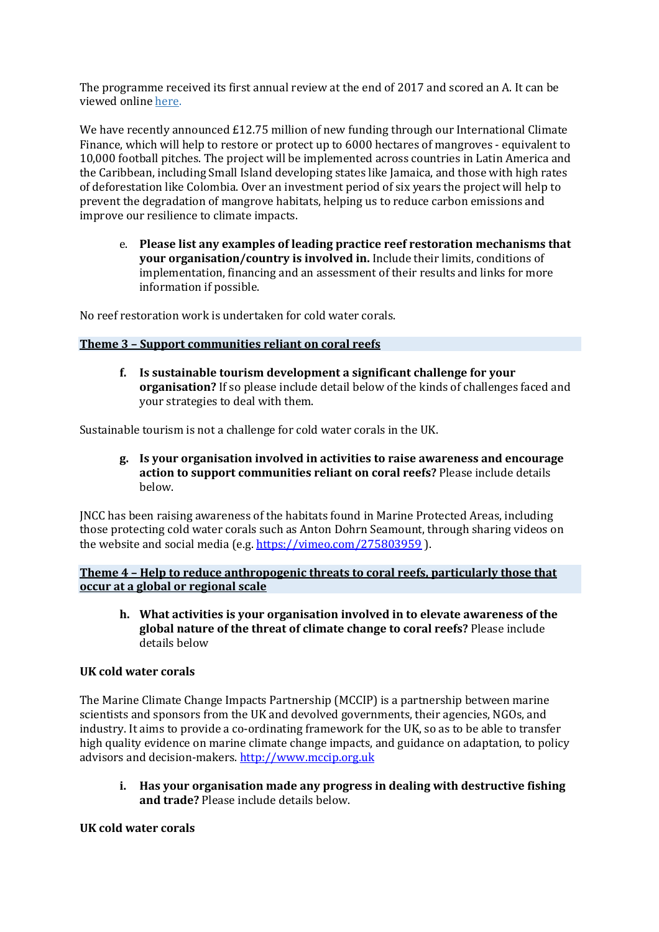The programme received its first annual review at the end of 2017 and scored an A. It can be viewed online here.

We have recently announced  $£12.75$  million of new funding through our International Climate Finance, which will help to restore or protect up to 6000 hectares of mangroves - equivalent to 10,000 football pitches. The project will be implemented across countries in Latin America and the Caribbean, including Small Island developing states like Jamaica, and those with high rates of deforestation like Colombia. Over an investment period of six years the project will help to prevent the degradation of mangrove habitats, helping us to reduce carbon emissions and improve our resilience to climate impacts.

e. Please list any examples of leading practice reef restoration mechanisms that **your organisation/country is involved in.** Include their limits, conditions of implementation, financing and an assessment of their results and links for more information if possible.

No reef restoration work is undertaken for cold water corals.

#### **Theme 3 - Support communities reliant on coral reefs**

**f. Is sustainable tourism development a significant challenge for your organisation?** If so please include detail below of the kinds of challenges faced and your strategies to deal with them.

Sustainable tourism is not a challenge for cold water corals in the UK.

**g. Is your organisation involved in activities to raise awareness and encourage**  action to support communities reliant on coral reefs? Please include details below.

INCC has been raising awareness of the habitats found in Marine Protected Areas, including those protecting cold water corals such as Anton Dohrn Seamount, through sharing videos on the website and social media (e.g.  $\frac{https://vimeo.com/275803959}{https://vimeo.com/275803959}$ ).

**Theme 4 - Help to reduce anthropogenic threats to coral reefs, particularly those that occur at a global or regional scale** 

**h.** What activities is your organisation involved in to elevate awareness of the **global nature of the threat of climate change to coral reefs?** Please include details below

#### **UK cold water corals**

The Marine Climate Change Impacts Partnership (MCCIP) is a partnership between marine scientists and sponsors from the UK and devolved governments, their agencies, NGOs, and industry. It aims to provide a co-ordinating framework for the UK, so as to be able to transfer high quality evidence on marine climate change impacts, and guidance on adaptation, to policy advisors and decision-makers. http://www.mccip.org.uk

**i.** Has your organisation made any progress in dealing with destructive fishing **and trade?** Please include details below.

#### **UK cold water corals**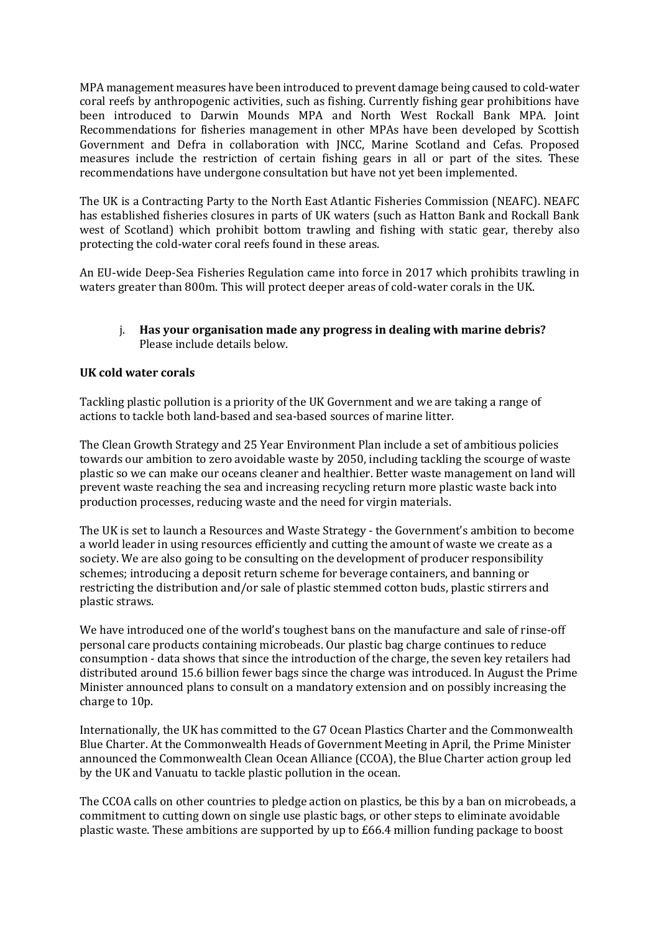MPA management measures have been introduced to prevent damage being caused to cold-water coral reefs by anthropogenic activities, such as fishing. Currently fishing gear prohibitions have been introduced to Darwin Mounds MPA and North West Rockall Bank MPA. Joint Recommendations for fisheries management in other MPAs have been developed by Scottish Government and Defra in collaboration with JNCC, Marine Scotland and Cefas. Proposed measures include the restriction of certain fishing gears in all or part of the sites. These recommendations have undergone consultation but have not yet been implemented.

The UK is a Contracting Party to the North East Atlantic Fisheries Commission (NEAFC). NEAFC has established fisheries closures in parts of UK waters (such as Hatton Bank and Rockall Bank west of Scotland) which prohibit bottom trawling and fishing with static gear, thereby also protecting the cold-water coral reefs found in these areas.

An EU-wide Deep-Sea Fisheries Regulation came into force in 2017 which prohibits trawling in waters greater than 800m. This will protect deeper areas of cold-water corals in the UK.

## j. Has your organisation made any progress in dealing with marine debris? Please include details below.

## **UK cold water corals**

Tackling plastic pollution is a priority of the UK Government and we are taking a range of actions to tackle both land-based and sea-based sources of marine litter.

The Clean Growth Strategy and 25 Year Environment Plan include a set of ambitious policies towards our ambition to zero avoidable waste by 2050, including tackling the scourge of waste plastic so we can make our oceans cleaner and healthier. Better waste management on land will prevent waste reaching the sea and increasing recycling return more plastic waste back into production processes, reducing waste and the need for virgin materials.

The UK is set to launch a Resources and Waste Strategy - the Government's ambition to become a world leader in using resources efficiently and cutting the amount of waste we create as a society. We are also going to be consulting on the development of producer responsibility schemes; introducing a deposit return scheme for beverage containers, and banning or restricting the distribution and/or sale of plastic stemmed cotton buds, plastic stirrers and plastic straws.

We have introduced one of the world's toughest bans on the manufacture and sale of rinse-off personal care products containing microbeads. Our plastic bag charge continues to reduce consumption - data shows that since the introduction of the charge, the seven key retailers had distributed around 15.6 billion fewer bags since the charge was introduced. In August the Prime Minister announced plans to consult on a mandatory extension and on possibly increasing the charge to 10p.

Internationally, the UK has committed to the G7 Ocean Plastics Charter and the Commonwealth Blue Charter. At the Commonwealth Heads of Government Meeting in April, the Prime Minister announced the Commonwealth Clean Ocean Alliance (CCOA), the Blue Charter action group led by the UK and Vanuatu to tackle plastic pollution in the ocean.

The CCOA calls on other countries to pledge action on plastics, be this by a ban on microbeads, a commitment to cutting down on single use plastic bags, or other steps to eliminate avoidable plastic waste. These ambitions are supported by up to  $E66.4$  million funding package to boost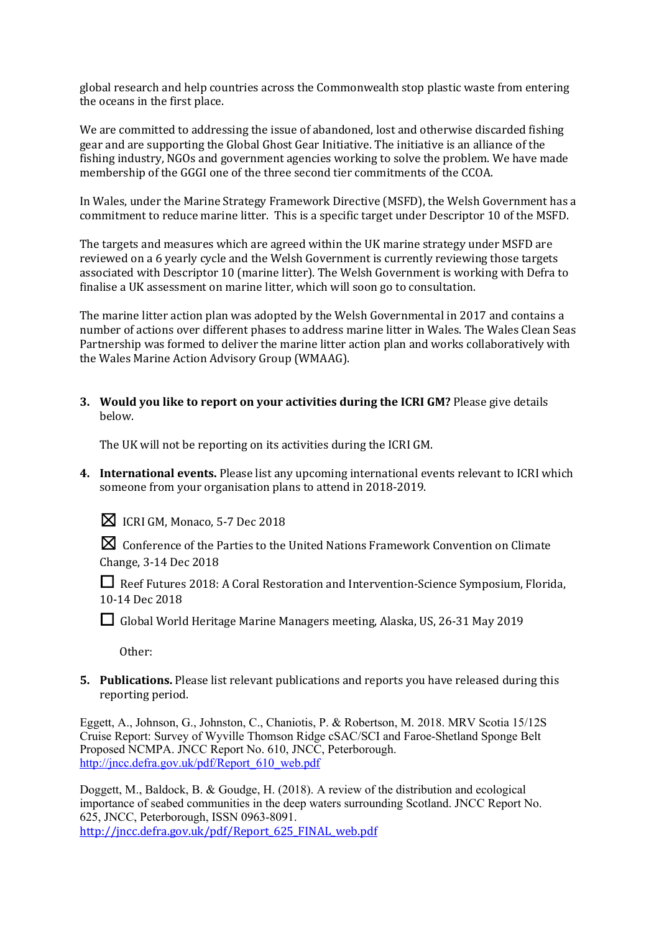global research and help countries across the Commonwealth stop plastic waste from entering the oceans in the first place.

We are committed to addressing the issue of abandoned, lost and otherwise discarded fishing gear and are supporting the Global Ghost Gear Initiative. The initiative is an alliance of the fishing industry, NGOs and government agencies working to solve the problem. We have made membership of the GGGI one of the three second tier commitments of the CCOA.

In Wales, under the Marine Strategy Framework Directive (MSFD), the Welsh Government has a commitment to reduce marine litter. This is a specific target under Descriptor 10 of the MSFD.

The targets and measures which are agreed within the UK marine strategy under MSFD are reviewed on a 6 yearly cycle and the Welsh Government is currently reviewing those targets associated with Descriptor 10 (marine litter). The Welsh Government is working with Defra to finalise a UK assessment on marine litter, which will soon go to consultation.

The marine litter action plan was adopted by the Welsh Governmental in 2017 and contains a number of actions over different phases to address marine litter in Wales. The Wales Clean Seas Partnership was formed to deliver the marine litter action plan and works collaboratively with the Wales Marine Action Advisory Group (WMAAG).

**3.** Would you like to report on your activities during the ICRI GM? Please give details below.

The UK will not be reporting on its activities during the ICRI GM.

**4.** International events. Please list any upcoming international events relevant to ICRI which someone from your organisation plans to attend in 2018-2019.

 $\boxtimes$  ICRI GM, Monaco, 5-7 Dec 2018

 $\boxtimes$  Conference of the Parties to the United Nations Framework Convention on Climate Change, 3-14 Dec 2018

□ Reef Futures 2018: A Coral Restoration and Intervention-Science Symposium, Florida, 10-14 Dec 2018

□ Global World Heritage Marine Managers meeting, Alaska, US, 26-31 May 2019

Other: 

**5.** Publications. Please list relevant publications and reports you have released during this reporting period.

Eggett, A., Johnson, G., Johnston, C., Chaniotis, P. & Robertson, M. 2018. MRV Scotia 15/12S Cruise Report: Survey of Wyville Thomson Ridge cSAC/SCI and Faroe-Shetland Sponge Belt Proposed NCMPA. JNCC Report No. 610, JNCC, Peterborough. http://jncc.defra.gov.uk/pdf/Report\_610\_web.pdf

Doggett, M., Baldock, B. & Goudge, H. (2018). A review of the distribution and ecological importance of seabed communities in the deep waters surrounding Scotland. JNCC Report No. 625, JNCC, Peterborough, ISSN 0963-8091. http://jncc.defra.gov.uk/pdf/Report\_625\_FINAL\_web.pdf